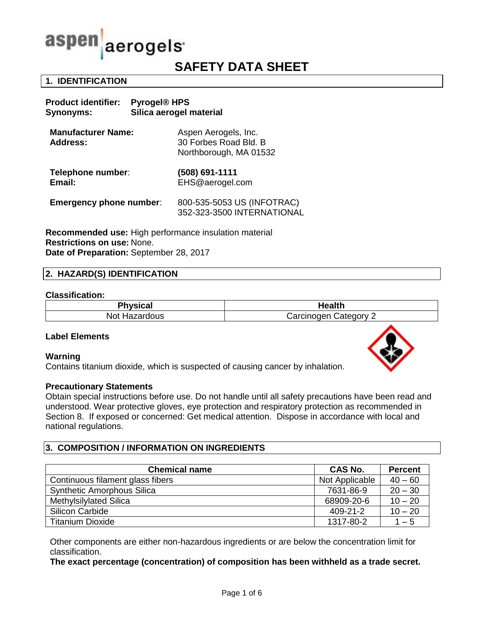

**Product identifier: Pyrogel® HPS**

# **SAFETY DATA SHEET**

## **1. IDENTIFICATION**

| Silica aerogel material<br>Synonyms:         |                                                                         |  |
|----------------------------------------------|-------------------------------------------------------------------------|--|
| <b>Manufacturer Name:</b><br><b>Address:</b> | Aspen Aerogels, Inc.<br>30 Forbes Road Bld. B<br>Northborough, MA 01532 |  |
| Telephone number:<br>Email:                  | (508) 691-1111<br>EHS@aerogel.com                                       |  |
| <b>Emergency phone number:</b>               | 800-535-5053 US (INFOTRAC)<br>352-323-3500 INTERNATIONAL                |  |
|                                              |                                                                         |  |

**Recommended use:** High performance insulation material **Restrictions on use:** None. **Date of Preparation:** September 28, 2017

## **2. HAZARD(S) IDENTIFICATION**

#### **Classification:**

| <b>Physical</b>  | <b>Health</b> |  |
|------------------|---------------|--|
| <b>Not</b>       | Carcinogen    |  |
| <b>Hazardous</b> | ′ ategoryٽ    |  |

#### **Label Elements**

#### **Warning**

Contains titanium dioxide, which is suspected of causing cancer by inhalation.

#### **Precautionary Statements**

Obtain special instructions before use. Do not handle until all safety precautions have been read and understood. Wear protective gloves, eye protection and respiratory protection as recommended in Section 8. If exposed or concerned: Get medical attention. Dispose in accordance with local and national regulations.

## **3. COMPOSITION / INFORMATION ON INGREDIENTS**

| <b>Chemical name</b>              | <b>CAS No.</b> | <b>Percent</b> |
|-----------------------------------|----------------|----------------|
| Continuous filament glass fibers  | Not Applicable | $40 - 60$      |
| <b>Synthetic Amorphous Silica</b> | 7631-86-9      | $20 - 30$      |
| Methylsilylated Silica            | 68909-20-6     | $10 - 20$      |
| <b>Silicon Carbide</b>            | 409-21-2       | $10 - 20$      |
| <b>Titanium Dioxide</b>           | 1317-80-2      | $1 - 5$        |

Other components are either non-hazardous ingredients or are below the concentration limit for classification.

**The exact percentage (concentration) of composition has been withheld as a trade secret.**

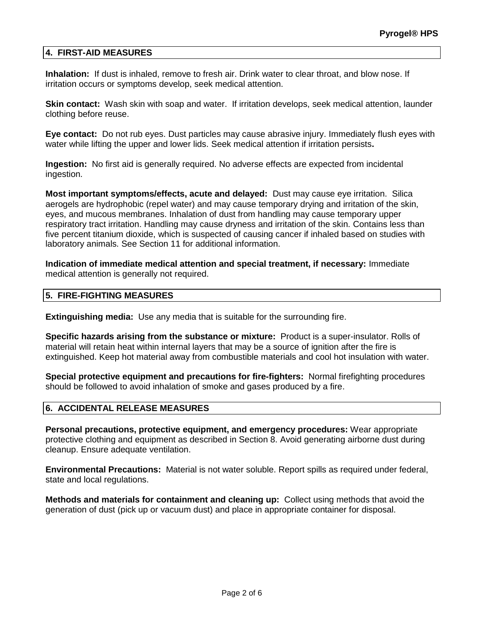## **4. FIRST-AID MEASURES**

**Inhalation:** If dust is inhaled, remove to fresh air. Drink water to clear throat, and blow nose. If irritation occurs or symptoms develop, seek medical attention.

**Skin contact:** Wash skin with soap and water. If irritation develops, seek medical attention, launder clothing before reuse.

**Eye contact:** Do not rub eyes. Dust particles may cause abrasive injury. Immediately flush eyes with water while lifting the upper and lower lids. Seek medical attention if irritation persists**.**

**Ingestion:** No first aid is generally required. No adverse effects are expected from incidental ingestion.

**Most important symptoms/effects, acute and delayed:** Dust may cause eye irritation. Silica aerogels are hydrophobic (repel water) and may cause temporary drying and irritation of the skin, eyes, and mucous membranes. Inhalation of dust from handling may cause temporary upper respiratory tract irritation. Handling may cause dryness and irritation of the skin. Contains less than five percent titanium dioxide, which is suspected of causing cancer if inhaled based on studies with laboratory animals. See Section 11 for additional information.

**Indication of immediate medical attention and special treatment, if necessary:** Immediate medical attention is generally not required.

#### **5. FIRE-FIGHTING MEASURES**

**Extinguishing media:** Use any media that is suitable for the surrounding fire.

**Specific hazards arising from the substance or mixture:** Product is a super-insulator. Rolls of material will retain heat within internal layers that may be a source of ignition after the fire is extinguished. Keep hot material away from combustible materials and cool hot insulation with water.

**Special protective equipment and precautions for fire-fighters:** Normal firefighting procedures should be followed to avoid inhalation of smoke and gases produced by a fire.

## **6. ACCIDENTAL RELEASE MEASURES**

**Personal precautions, protective equipment, and emergency procedures:** Wear appropriate protective clothing and equipment as described in Section 8. Avoid generating airborne dust during cleanup. Ensure adequate ventilation.

**Environmental Precautions:** Material is not water soluble. Report spills as required under federal, state and local regulations.

**Methods and materials for containment and cleaning up:** Collect using methods that avoid the generation of dust (pick up or vacuum dust) and place in appropriate container for disposal.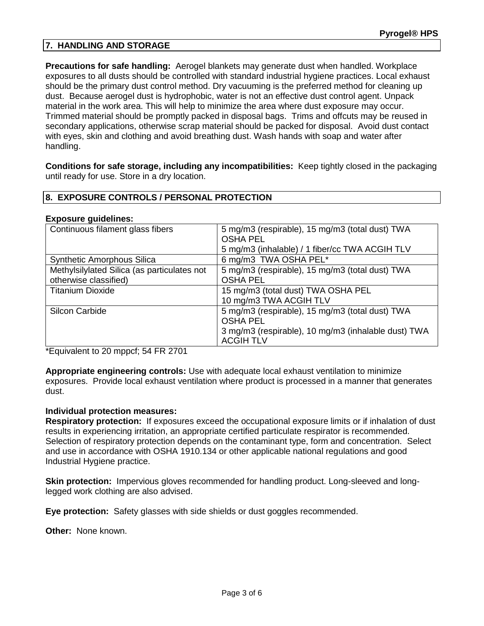## **7. HANDLING AND STORAGE**

**Precautions for safe handling:** Aerogel blankets may generate dust when handled. Workplace exposures to all dusts should be controlled with standard industrial hygiene practices. Local exhaust should be the primary dust control method. Dry vacuuming is the preferred method for cleaning up dust. Because aerogel dust is hydrophobic, water is not an effective dust control agent. Unpack material in the work area. This will help to minimize the area where dust exposure may occur. Trimmed material should be promptly packed in disposal bags. Trims and offcuts may be reused in secondary applications, otherwise scrap material should be packed for disposal. Avoid dust contact with eyes, skin and clothing and avoid breathing dust. Wash hands with soap and water after handling.

**Conditions for safe storage, including any incompatibilities:** Keep tightly closed in the packaging until ready for use. Store in a dry location.

## **8. EXPOSURE CONTROLS / PERSONAL PROTECTION**

#### **Exposure guidelines:**

| Continuous filament glass fibers            | 5 mg/m3 (respirable), 15 mg/m3 (total dust) TWA<br><b>OSHA PEL</b> |
|---------------------------------------------|--------------------------------------------------------------------|
|                                             | 5 mg/m3 (inhalable) / 1 fiber/cc TWA ACGIH TLV                     |
| <b>Synthetic Amorphous Silica</b>           | 6 mg/m3 TWA OSHA PEL*                                              |
| Methylsilylated Silica (as particulates not | 5 mg/m3 (respirable), 15 mg/m3 (total dust) TWA                    |
| otherwise classified)                       | <b>OSHA PEL</b>                                                    |
| <b>Titanium Dioxide</b>                     | 15 mg/m3 (total dust) TWA OSHA PEL                                 |
|                                             | 10 mg/m3 TWA ACGIH TLV                                             |
| <b>Silcon Carbide</b>                       | 5 mg/m3 (respirable), 15 mg/m3 (total dust) TWA                    |
|                                             | <b>OSHA PEL</b>                                                    |
|                                             | 3 mg/m3 (respirable), 10 mg/m3 (inhalable dust) TWA                |
|                                             | <b>ACGIH TLV</b>                                                   |

\*Equivalent to 20 mppcf; 54 FR 2701

**Appropriate engineering controls:** Use with adequate local exhaust ventilation to minimize exposures. Provide local exhaust ventilation where product is processed in a manner that generates dust.

#### **Individual protection measures:**

**Respiratory protection:** If exposures exceed the occupational exposure limits or if inhalation of dust results in experiencing irritation, an appropriate certified particulate respirator is recommended. Selection of respiratory protection depends on the contaminant type, form and concentration. Select and use in accordance with OSHA 1910.134 or other applicable national regulations and good Industrial Hygiene practice.

**Skin protection:** Impervious gloves recommended for handling product. Long-sleeved and longlegged work clothing are also advised.

**Eye protection:** Safety glasses with side shields or dust goggles recommended.

**Other:** None known.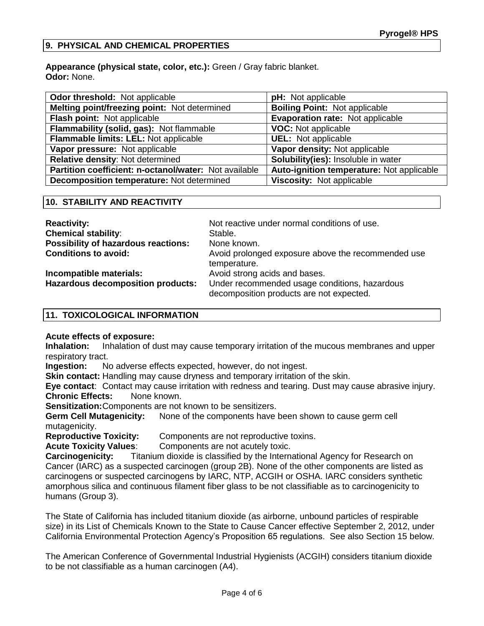## **9. PHYSICAL AND CHEMICAL PROPERTIES**

**Appearance (physical state, color, etc.):** Green / Gray fabric blanket. **Odor:** None.

| Odor threshold: Not applicable                        | <b>pH:</b> Not applicable                 |
|-------------------------------------------------------|-------------------------------------------|
| Melting point/freezing point: Not determined          | <b>Boiling Point: Not applicable</b>      |
| Flash point: Not applicable                           | Evaporation rate: Not applicable          |
| Flammability (solid, gas): Not flammable              | <b>VOC:</b> Not applicable                |
| Flammable limits: LEL: Not applicable                 | <b>UEL:</b> Not applicable                |
| Vapor pressure: Not applicable                        | Vapor density: Not applicable             |
| Relative density: Not determined                      | Solubility(ies): Insoluble in water       |
| Partition coefficient: n-octanol/water: Not available | Auto-ignition temperature: Not applicable |
| Decomposition temperature: Not determined             | Viscosity: Not applicable                 |

## **10. STABILITY AND REACTIVITY**

| <b>Reactivity:</b>                         | Not reactive under normal conditions of use.                                              |
|--------------------------------------------|-------------------------------------------------------------------------------------------|
| <b>Chemical stability:</b>                 | Stable.                                                                                   |
| <b>Possibility of hazardous reactions:</b> | None known.                                                                               |
| <b>Conditions to avoid:</b>                | Avoid prolonged exposure above the recommended use<br>temperature.                        |
| Incompatible materials:                    | Avoid strong acids and bases.                                                             |
| <b>Hazardous decomposition products:</b>   | Under recommended usage conditions, hazardous<br>decomposition products are not expected. |

## **11. TOXICOLOGICAL INFORMATION**

## **Acute effects of exposure:**

**Inhalation:** Inhalation of dust may cause temporary irritation of the mucous membranes and upper respiratory tract.

**Ingestion:** No adverse effects expected, however, do not ingest.

**Skin contact:** Handling may cause dryness and temporary irritation of the skin.

**Eye contact**: Contact may cause irritation with redness and tearing. Dust may cause abrasive injury. **Chronic Effects:** None known.

**Sensitization:**Components are not known to be sensitizers.

**Germ Cell Mutagenicity:** None of the components have been shown to cause germ cell mutagenicity.

**Reproductive Toxicity:** Components are not reproductive toxins.

**Acute Toxicity Values:** Components are not acutely toxic.

**Carcinogenicity:** Titanium dioxide is classified by the International Agency for Research on Cancer (IARC) as a suspected carcinogen (group 2B). None of the other components are listed as carcinogens or suspected carcinogens by IARC, NTP, ACGIH or OSHA. IARC considers synthetic amorphous silica and continuous filament fiber glass to be not classifiable as to carcinogenicity to humans (Group 3).

The State of California has included titanium dioxide (as airborne, unbound particles of respirable size) in its List of Chemicals Known to the State to Cause Cancer effective September 2, 2012, under California Environmental Protection Agency's Proposition 65 regulations. See also Section 15 below.

The American Conference of Governmental Industrial Hygienists (ACGIH) considers titanium dioxide to be not classifiable as a human carcinogen (A4).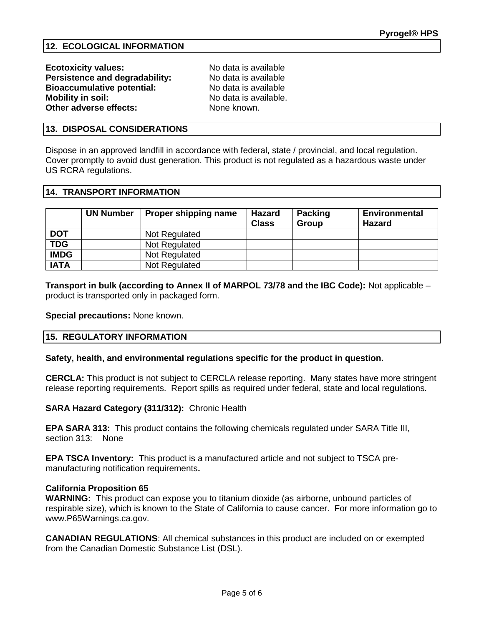**Ecotoxicity values:** No data is available **Persistence and degradability:** No data is available **Bioaccumulative potential:** No data is available No data is available. None known.

## **13. DISPOSAL CONSIDERATIONS**

Dispose in an approved landfill in accordance with federal, state / provincial, and local regulation. Cover promptly to avoid dust generation. This product is not regulated as a hazardous waste under US RCRA regulations.

## **14. TRANSPORT INFORMATION**

|             | <b>UN Number</b> | Proper shipping name | <b>Hazard</b><br><b>Class</b> | <b>Packing</b><br>Group | <b>Environmental</b><br><b>Hazard</b> |
|-------------|------------------|----------------------|-------------------------------|-------------------------|---------------------------------------|
| <b>DOT</b>  |                  | Not Regulated        |                               |                         |                                       |
| <b>TDG</b>  |                  | Not Regulated        |                               |                         |                                       |
| <b>IMDG</b> |                  | Not Regulated        |                               |                         |                                       |
| <b>IATA</b> |                  | Not Regulated        |                               |                         |                                       |

**Transport in bulk (according to Annex II of MARPOL 73/78 and the IBC Code):** Not applicable – product is transported only in packaged form.

**Special precautions:** None known.

## **15. REGULATORY INFORMATION**

#### **Safety, health, and environmental regulations specific for the product in question.**

**CERCLA:** This product is not subject to CERCLA release reporting. Many states have more stringent release reporting requirements. Report spills as required under federal, state and local regulations.

**SARA Hazard Category (311/312):** Chronic Health

**EPA SARA 313:** This product contains the following chemicals regulated under SARA Title III, section 313: None

**EPA TSCA Inventory:** This product is a manufactured article and not subject to TSCA premanufacturing notification requirements**.**

#### **California Proposition 65**

**WARNING:** This product can expose you to titanium dioxide (as airborne, unbound particles of respirable size), which is known to the State of California to cause cancer. For more information go to www.P65Warnings.ca.gov.

**CANADIAN REGULATIONS**: All chemical substances in this product are included on or exempted from the Canadian Domestic Substance List (DSL).